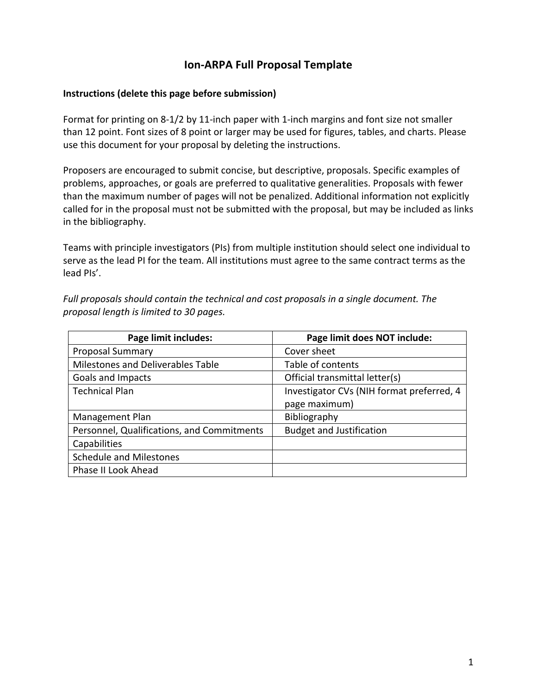## **Ion-ARPA Full Proposal Template**

#### **Instructions (delete this page before submission)**

Format for printing on 8-1/2 by 11-inch paper with 1-inch margins and font size not smaller than 12 point. Font sizes of 8 point or larger may be used for figures, tables, and charts. Please use this document for your proposal by deleting the instructions.

Proposers are encouraged to submit concise, but descriptive, proposals. Specific examples of problems, approaches, or goals are preferred to qualitative generalities. Proposals with fewer than the maximum number of pages will not be penalized. Additional information not explicitly called for in the proposal must not be submitted with the proposal, but may be included as links in the bibliography.

Teams with principle investigators (PIs) from multiple institution should select one individual to serve as the lead PI for the team. All institutions must agree to the same contract terms as the lead PIs'.

*Full proposals should contain the technical and cost proposals in a single document. The proposal length is limited to 30 pages.*

| Page limit includes:                       | Page limit does NOT include:              |  |  |
|--------------------------------------------|-------------------------------------------|--|--|
| <b>Proposal Summary</b>                    | Cover sheet                               |  |  |
| Milestones and Deliverables Table          | Table of contents                         |  |  |
| Goals and Impacts                          | Official transmittal letter(s)            |  |  |
| <b>Technical Plan</b>                      | Investigator CVs (NIH format preferred, 4 |  |  |
|                                            | page maximum)                             |  |  |
| Management Plan                            | Bibliography                              |  |  |
| Personnel, Qualifications, and Commitments | <b>Budget and Justification</b>           |  |  |
| Capabilities                               |                                           |  |  |
| <b>Schedule and Milestones</b>             |                                           |  |  |
| Phase II Look Ahead                        |                                           |  |  |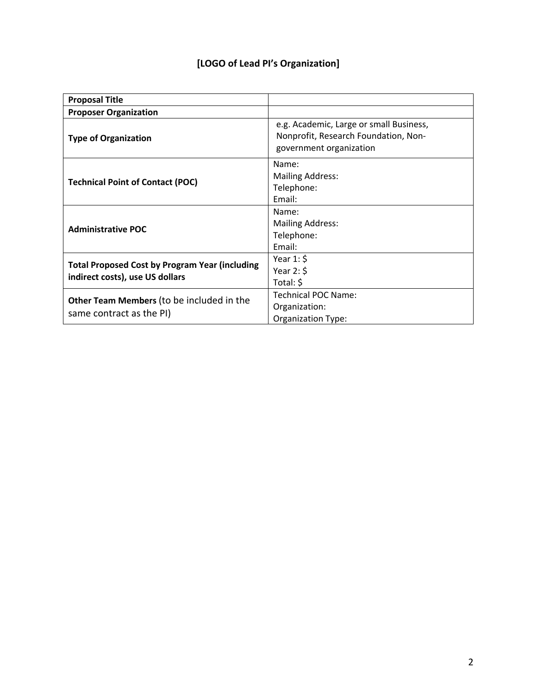## **[LOGO of Lead PI's Organization]**

| <b>Proposal Title</b>                                                                    |                                                                                                            |
|------------------------------------------------------------------------------------------|------------------------------------------------------------------------------------------------------------|
| <b>Proposer Organization</b>                                                             |                                                                                                            |
| <b>Type of Organization</b>                                                              | e.g. Academic, Large or small Business,<br>Nonprofit, Research Foundation, Non-<br>government organization |
| <b>Technical Point of Contact (POC)</b>                                                  | Name:<br><b>Mailing Address:</b><br>Telephone:<br>Email:                                                   |
| <b>Administrative POC</b>                                                                | Name:<br><b>Mailing Address:</b><br>Telephone:<br>Email:                                                   |
| <b>Total Proposed Cost by Program Year (including</b><br>indirect costs), use US dollars | Year $1:$ \$<br>Year $2:$ \$<br>Total: \$                                                                  |
| <b>Other Team Members</b> (to be included in the<br>same contract as the PI)             | Technical POC Name:<br>Organization:<br>Organization Type:                                                 |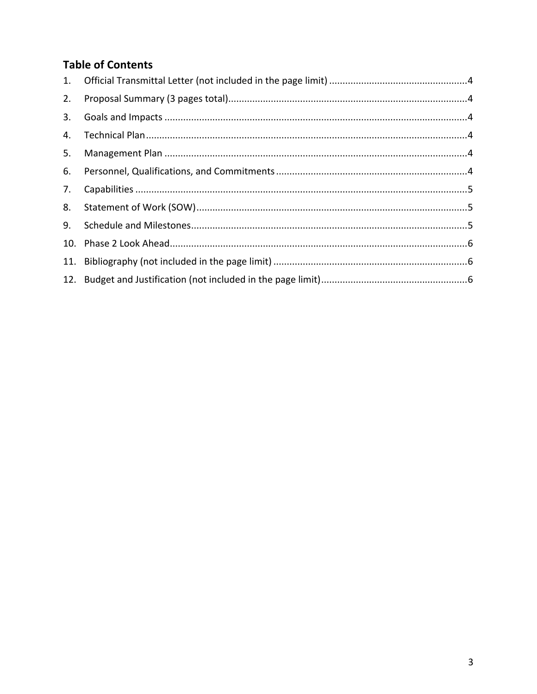# **Table of Contents**

| 1. |  |
|----|--|
| 2. |  |
| 3. |  |
|    |  |
| 5. |  |
| 6. |  |
| 7. |  |
| 8. |  |
| 9. |  |
|    |  |
|    |  |
|    |  |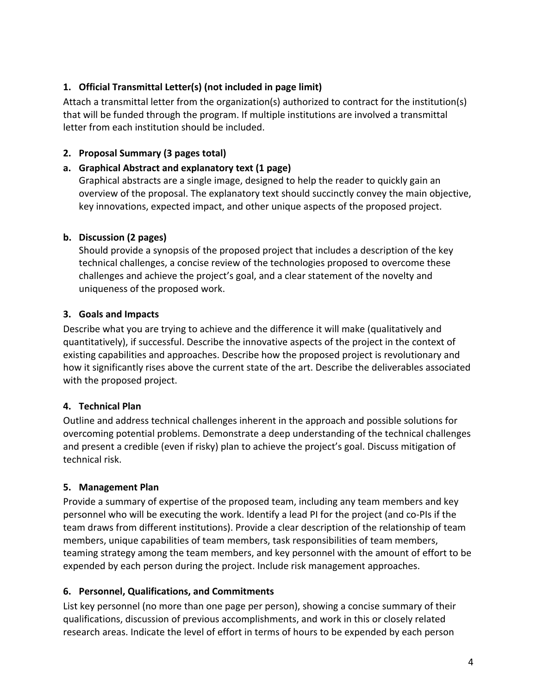## **1. Official Transmittal Letter(s) (not included in page limit)**

Attach a transmittal letter from the organization(s) authorized to contract for the institution(s) that will be funded through the program. If multiple institutions are involved a transmittal letter from each institution should be included.

### **2. Proposal Summary (3 pages total)**

### **a. Graphical Abstract and explanatory text (1 page)**

Graphical abstracts are a single image, designed to help the reader to quickly gain an overview of the proposal. The explanatory text should succinctly convey the main objective, key innovations, expected impact, and other unique aspects of the proposed project.

### **b. Discussion (2 pages)**

Should provide a synopsis of the proposed project that includes a description of the key technical challenges, a concise review of the technologies proposed to overcome these challenges and achieve the project's goal, and a clear statement of the novelty and uniqueness of the proposed work.

### **3. Goals and Impacts**

Describe what you are trying to achieve and the difference it will make (qualitatively and quantitatively), if successful. Describe the innovative aspects of the project in the context of existing capabilities and approaches. Describe how the proposed project is revolutionary and how it significantly rises above the current state of the art. Describe the deliverables associated with the proposed project.

## **4. Technical Plan**

Outline and address technical challenges inherent in the approach and possible solutions for overcoming potential problems. Demonstrate a deep understanding of the technical challenges and present a credible (even if risky) plan to achieve the project's goal. Discuss mitigation of technical risk.

## **5. Management Plan**

Provide a summary of expertise of the proposed team, including any team members and key personnel who will be executing the work. Identify a lead PI for the project (and co-PIs if the team draws from different institutions). Provide a clear description of the relationship of team members, unique capabilities of team members, task responsibilities of team members, teaming strategy among the team members, and key personnel with the amount of effort to be expended by each person during the project. Include risk management approaches.

## **6. Personnel, Qualifications, and Commitments**

List key personnel (no more than one page per person), showing a concise summary of their qualifications, discussion of previous accomplishments, and work in this or closely related research areas. Indicate the level of effort in terms of hours to be expended by each person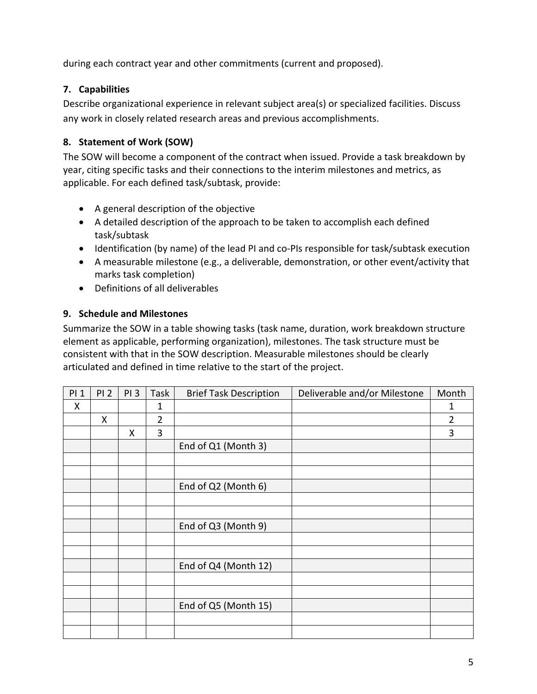during each contract year and other commitments (current and proposed).

## **7. Capabilities**

Describe organizational experience in relevant subject area(s) or specialized facilities. Discuss any work in closely related research areas and previous accomplishments.

## **8. Statement of Work (SOW)**

The SOW will become a component of the contract when issued. Provide a task breakdown by year, citing specific tasks and their connections to the interim milestones and metrics, as applicable. For each defined task/subtask, provide:

- A general description of the objective
- A detailed description of the approach to be taken to accomplish each defined task/subtask
- Identification (by name) of the lead PI and co-PIs responsible for task/subtask execution
- A measurable milestone (e.g., a deliverable, demonstration, or other event/activity that marks task completion)
- Definitions of all deliverables

### **9. Schedule and Milestones**

Summarize the SOW in a table showing tasks (task name, duration, work breakdown structure element as applicable, performing organization), milestones. The task structure must be consistent with that in the SOW description. Measurable milestones should be clearly articulated and defined in time relative to the start of the project.

| PI <sub>1</sub> | PI <sub>2</sub> | PI <sub>3</sub> | Task           | <b>Brief Task Description</b> | Deliverable and/or Milestone | Month          |
|-----------------|-----------------|-----------------|----------------|-------------------------------|------------------------------|----------------|
| X               |                 |                 | 1              |                               |                              | 1              |
|                 | X               |                 | $\overline{2}$ |                               |                              | $\overline{2}$ |
|                 |                 | X               | 3              |                               |                              | 3              |
|                 |                 |                 |                | End of Q1 (Month 3)           |                              |                |
|                 |                 |                 |                |                               |                              |                |
|                 |                 |                 |                |                               |                              |                |
|                 |                 |                 |                | End of Q2 (Month 6)           |                              |                |
|                 |                 |                 |                |                               |                              |                |
|                 |                 |                 |                |                               |                              |                |
|                 |                 |                 |                | End of Q3 (Month 9)           |                              |                |
|                 |                 |                 |                |                               |                              |                |
|                 |                 |                 |                |                               |                              |                |
|                 |                 |                 |                | End of Q4 (Month 12)          |                              |                |
|                 |                 |                 |                |                               |                              |                |
|                 |                 |                 |                |                               |                              |                |
|                 |                 |                 |                | End of Q5 (Month 15)          |                              |                |
|                 |                 |                 |                |                               |                              |                |
|                 |                 |                 |                |                               |                              |                |